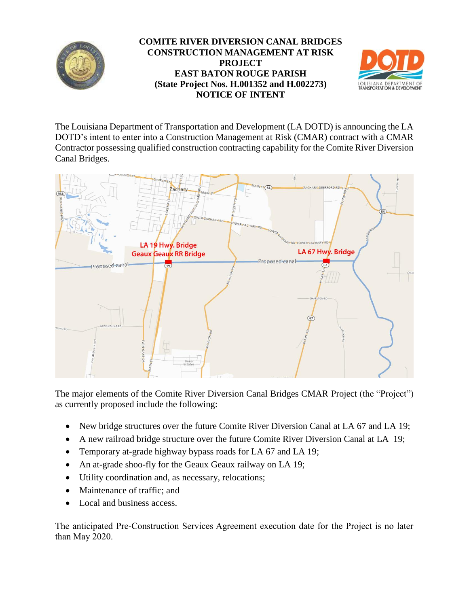

## **COMITE RIVER DIVERSION CANAL BRIDGES CONSTRUCTION MANAGEMENT AT RISK PROJECT EAST BATON ROUGE PARISH (State Project Nos. H.001352 and H.002273) NOTICE OF INTENT**



The Louisiana Department of Transportation and Development (LA DOTD) is announcing the LA DOTD's intent to enter into a Construction Management at Risk (CMAR) contract with a CMAR Contractor possessing qualified construction contracting capability for the Comite River Diversion Canal Bridges.



The major elements of the Comite River Diversion Canal Bridges CMAR Project (the "Project") as currently proposed include the following:

- New bridge structures over the future Comite River Diversion Canal at LA 67 and LA 19;
- A new railroad bridge structure over the future Comite River Diversion Canal at LA 19;
- Temporary at-grade highway bypass roads for LA 67 and LA 19;
- An at-grade shoo-fly for the Geaux Geaux railway on LA 19;
- Utility coordination and, as necessary, relocations;
- Maintenance of traffic: and
- Local and business access.

The anticipated Pre-Construction Services Agreement execution date for the Project is no later than May 2020.